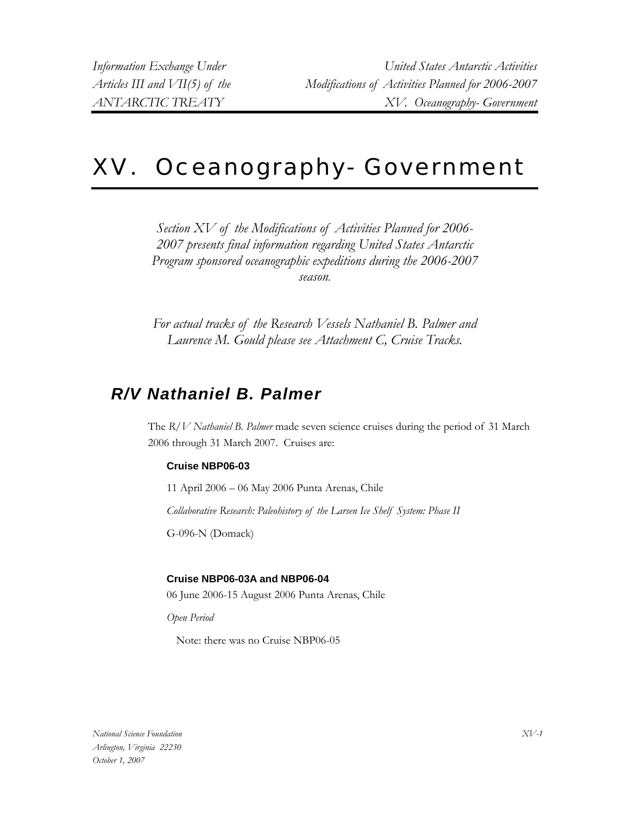# XV. Oceanography- Government

*Section XV of the Modifications of Activities Planned for 2006- 2007 presents final information regarding United States Antarctic Program sponsored oceanographic expeditions during the 2006-2007 season.*

*For actual tracks of the Research Vessels Nathaniel B. Palmer and Laurence M. Gould please see Attachment C, Cruise Tracks.*

## *R/V Nathaniel B. Palmer*

The *R/V Nathaniel B. Palmer* made seven science cruises during the period of 31 March 2006 through 31 March 2007. Cruises are:

## **Cruise NBP06-03**

11 April 2006 – 06 May 2006 Punta Arenas, Chile

*Collaborative Research: Paleohistory of the Larsen Ice Shelf System: Phase II* 

G-096-N (Domack)

## **Cruise NBP06-03A and NBP06-04**

06 June 2006-15 August 2006 Punta Arenas, Chile

*Open Period* 

Note: there was no Cruise NBP06-05

*National Science Foundation Arlington, Virginia 22230 October 1, 2007*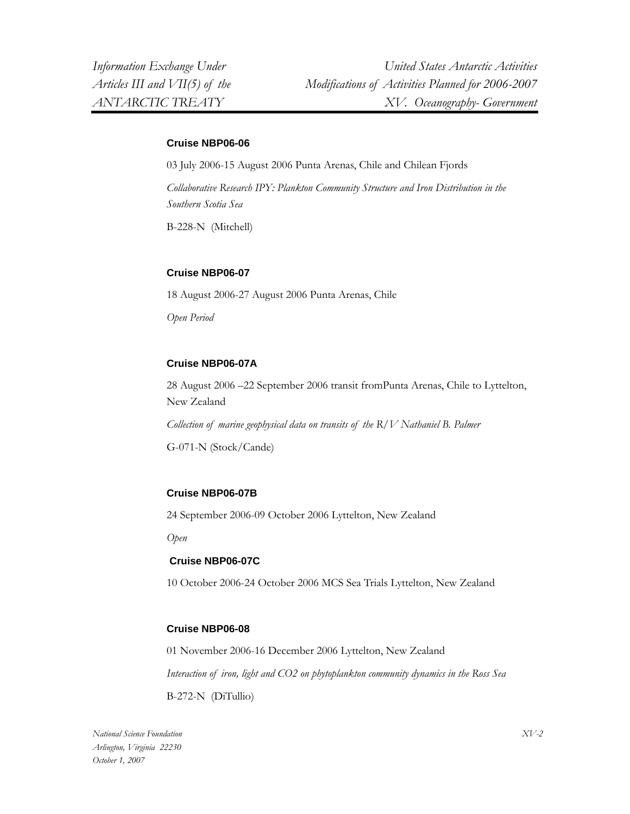#### **Cruise NBP06-06**

03 July 2006-15 August 2006 Punta Arenas, Chile and Chilean Fjords *Collaborative Research IPY: Plankton Community Structure and Iron Distribution in the Southern Scotia Sea*  B-228-N (Mitchell)

## **Cruise NBP06-07**

18 August 2006-27 August 2006 Punta Arenas, Chile *Open Period* 

## **Cruise NBP06-07A**

28 August 2006 –22 September 2006 transit fromPunta Arenas, Chile to Lyttelton, New Zealand *Collection of marine geophysical data on transits of the R/V Nathaniel B. Palmer*  G-071-N (Stock/Cande)

## **Cruise NBP06-07B**

24 September 2006-09 October 2006 Lyttelton, New Zealand

*Open* 

## **Cruise NBP06-07C**

10 October 2006-24 October 2006 MCS Sea Trials Lyttelton, New Zealand

## **Cruise NBP06-08**

01 November 2006-16 December 2006 Lyttelton, New Zealand *Interaction of iron, light and CO2 on phytoplankton community dynamics in the Ross Sea*  B-272-N (DiTullio)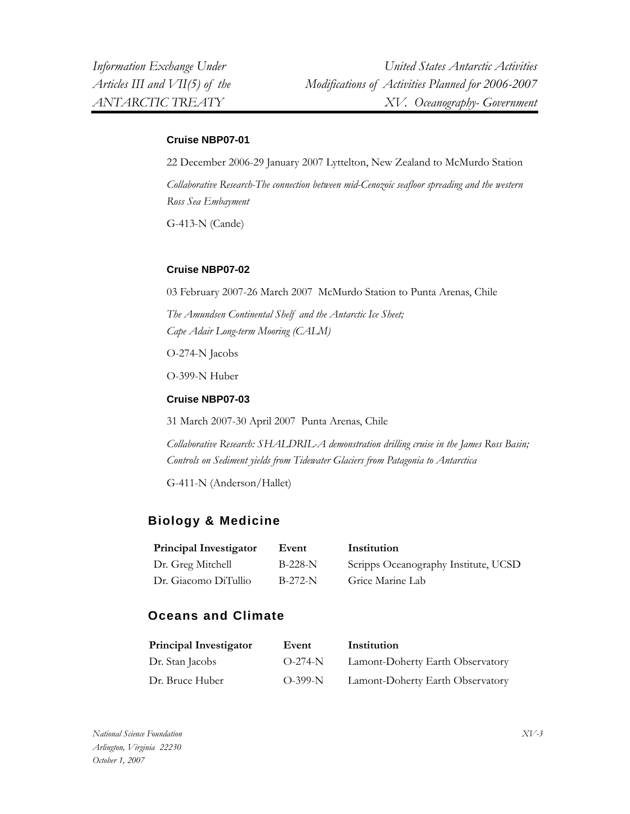### **Cruise NBP07-01**

22 December 2006-29 January 2007 Lyttelton, New Zealand to McMurdo Station *Collaborative Research-The connection between mid-Cenozoic seafloor spreading and the western Ross Sea Embayment* 

G-413-N (Cande)

### **Cruise NBP07-02**

03 February 2007-26 March 2007 McMurdo Station to Punta Arenas, Chile

*The Amundsen Continental Shelf and the Antarctic Ice Sheet; Cape Adair Long-term Mooring (CALM)* 

O-274-N Jacobs

O-399-N Huber

#### **Cruise NBP07-03**

31 March 2007-30 April 2007 Punta Arenas, Chile

*Collaborative Research: SHALDRIL-A demonstration drilling cruise in the James Ross Basin; Controls on Sediment yields from Tidewater Glaciers from Patagonia to Antarctica* 

G-411-N (Anderson/Hallet)

## **Biology & Medicine**

| <b>Principal Investigator</b> | Event     | Institution                          |
|-------------------------------|-----------|--------------------------------------|
| Dr. Greg Mitchell             | $B-228-N$ | Scripps Oceanography Institute, UCSD |
| Dr. Giacomo DiTullio          | $B-272-N$ | Grice Marine Lab                     |

## **Oceans and Climate**

| <b>Principal Investigator</b> | Event     | Institution                      |
|-------------------------------|-----------|----------------------------------|
| Dr. Stan Jacobs               | $O-274-N$ | Lamont-Doherty Earth Observatory |
| Dr. Bruce Huber               | $O-399-N$ | Lamont-Doherty Earth Observatory |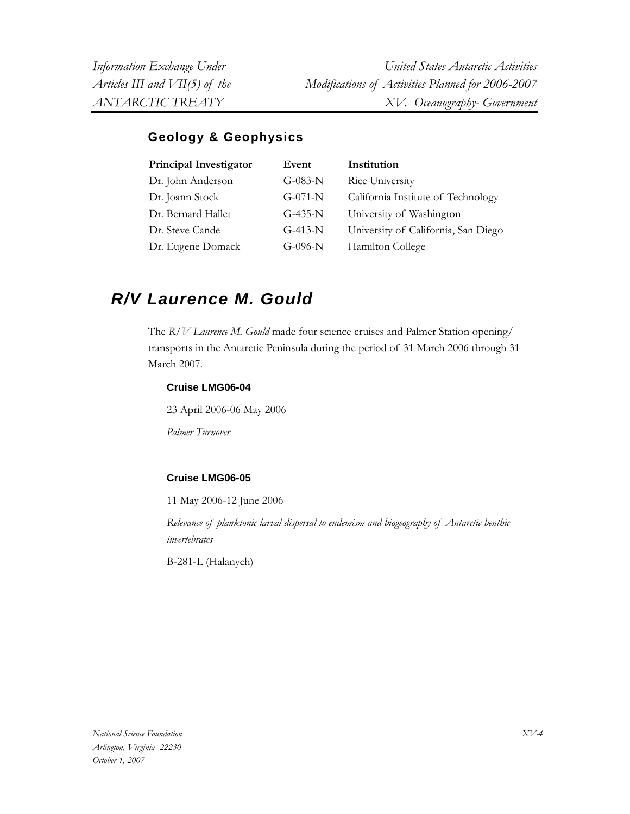## **Geology & Geophysics**

| Principal Investigator | Event     | Institution                         |
|------------------------|-----------|-------------------------------------|
| Dr. John Anderson      | $G-083-N$ | Rice University                     |
| Dr. Joann Stock        | $G-071-N$ | California Institute of Technology  |
| Dr. Bernard Hallet     | $G-435-N$ | University of Washington            |
| Dr. Steve Cande        | $G-413-N$ | University of California, San Diego |
| Dr. Eugene Domack      | $G-096-N$ | Hamilton College                    |

## *R/V Laurence M. Gould*

The *R/V Laurence M. Gould* made four science cruises and Palmer Station opening/ transports in the Antarctic Peninsula during the period of 31 March 2006 through 31 March 2007.

## **Cruise LMG06-04**

23 April 2006-06 May 2006

*Palmer Turnover* 

## **Cruise LMG06-05**

11 May 2006-12 June 2006

*Relevance of planktonic larval dispersal to endemism and biogeography of Antarctic benthic invertebrates* 

B-281-L (Halanych)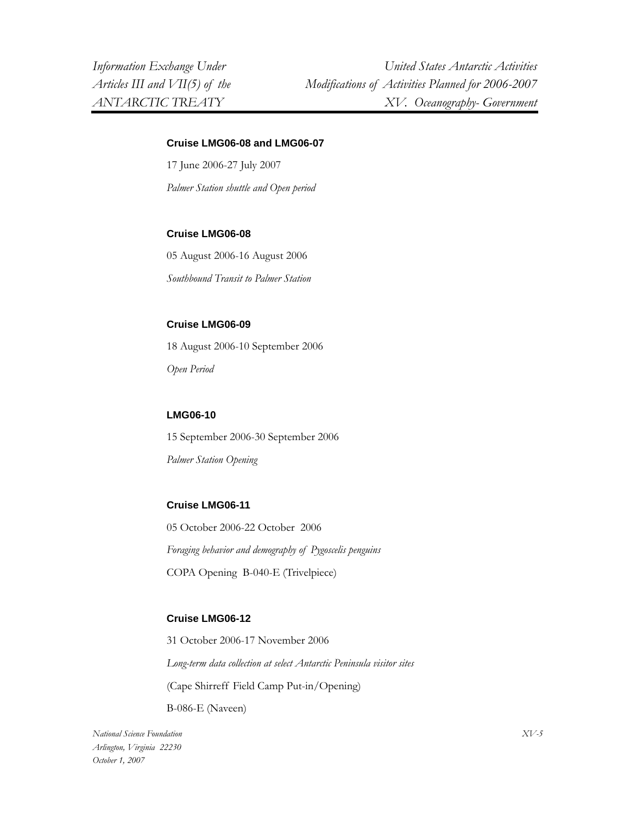### **Cruise LMG06-08 and LMG06-07**

17 June 2006-27 July 2007 *Palmer Station shuttle and Open period* 

#### **Cruise LMG06-08**

05 August 2006-16 August 2006 *Southbound Transit to Palmer Station* 

## **Cruise LMG06-09**

18 August 2006-10 September 2006 *Open Period* 

#### **LMG06-10**

15 September 2006-30 September 2006 *Palmer Station Opening* 

#### **Cruise LMG06-11**

05 October 2006-22 October 2006 *Foraging behavior and demography of Pygoscelis penguins*  COPA Opening B-040-E (Trivelpiece)

#### **Cruise LMG06-12**

31 October 2006-17 November 2006 *Long-term data collection at select Antarctic Peninsula visitor sites*  (Cape Shirreff Field Camp Put-in/Opening)

B-086-E (Naveen)

*National Science Foundation Arlington, Virginia 22230 October 1, 2007*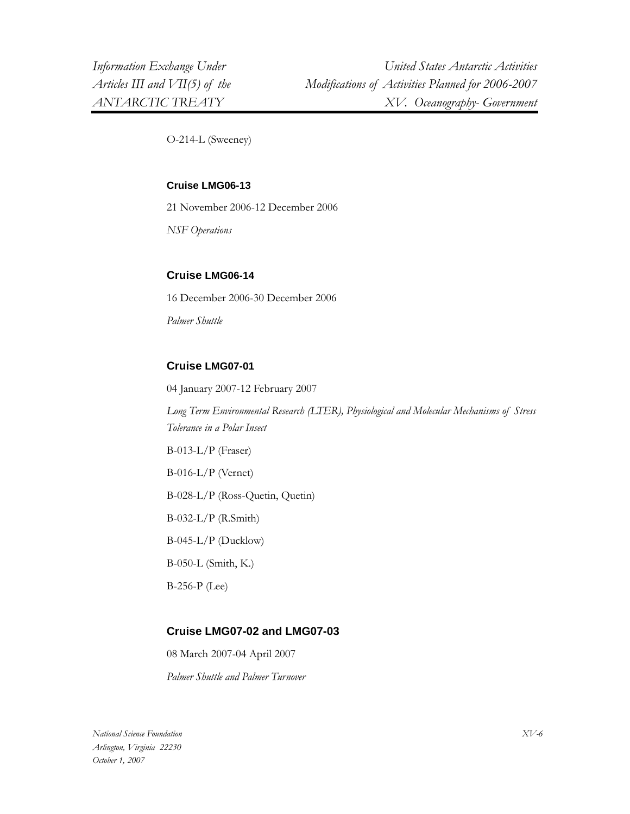O-214-L (Sweeney)

#### **Cruise LMG06-13**

21 November 2006-12 December 2006

*NSF Operations* 

## **Cruise LMG06-14**

16 December 2006-30 December 2006

*Palmer Shuttle* 

## **Cruise LMG07-01**

04 January 2007-12 February 2007

*Long Term Environmental Research (LTER), Physiological and Molecular Mechanisms of Stress Tolerance in a Polar Insect* 

B-013-L/P (Fraser) B-016-L/P (Vernet) B-028-L/P (Ross-Quetin, Quetin) B-032-L/P (R.Smith) B-045-L/P (Ducklow) B-050-L (Smith, K.)

## **Cruise LMG07-02 and LMG07-03**

08 March 2007-04 April 2007 *Palmer Shuttle and Palmer Turnover* 

B-256-P (Lee)

*National Science Foundation Arlington, Virginia 22230 October 1, 2007*